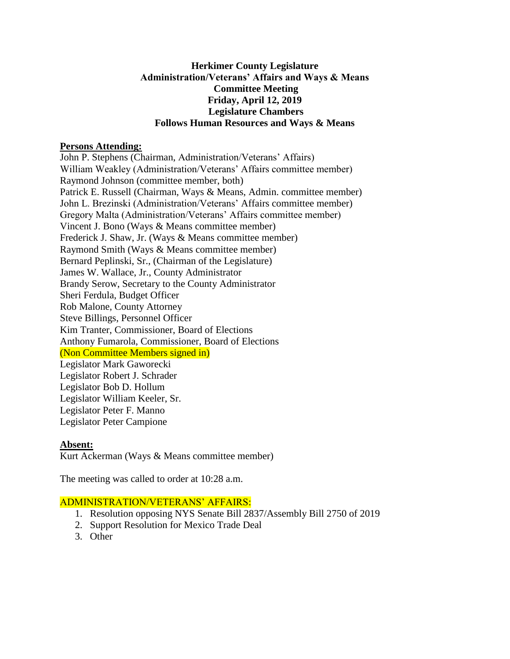### **Herkimer County Legislature Administration/Veterans' Affairs and Ways & Means Committee Meeting Friday, April 12, 2019 Legislature Chambers Follows Human Resources and Ways & Means**

#### **Persons Attending:**

John P. Stephens (Chairman, Administration/Veterans' Affairs) William Weakley (Administration/Veterans' Affairs committee member) Raymond Johnson (committee member, both) Patrick E. Russell (Chairman, Ways & Means, Admin. committee member) John L. Brezinski (Administration/Veterans' Affairs committee member) Gregory Malta (Administration/Veterans' Affairs committee member) Vincent J. Bono (Ways & Means committee member) Frederick J. Shaw, Jr. (Ways & Means committee member) Raymond Smith (Ways & Means committee member) Bernard Peplinski, Sr., (Chairman of the Legislature) James W. Wallace, Jr., County Administrator Brandy Serow, Secretary to the County Administrator Sheri Ferdula, Budget Officer Rob Malone, County Attorney Steve Billings, Personnel Officer Kim Tranter, Commissioner, Board of Elections Anthony Fumarola, Commissioner, Board of Elections (Non Committee Members signed in) Legislator Mark Gaworecki Legislator Robert J. Schrader Legislator Bob D. Hollum Legislator William Keeler, Sr. Legislator Peter F. Manno

Legislator Peter Campione

# **Absent:**

Kurt Ackerman (Ways & Means committee member)

The meeting was called to order at 10:28 a.m.

#### ADMINISTRATION/VETERANS' AFFAIRS:

- 1. Resolution opposing NYS Senate Bill 2837/Assembly Bill 2750 of 2019
- 2. Support Resolution for Mexico Trade Deal
- 3. Other